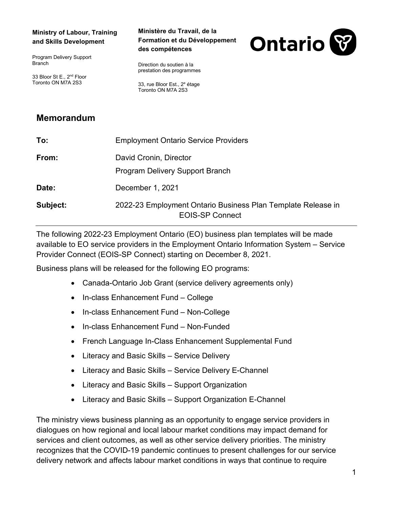## **Ministry of Labour, Training and Skills Development**

Program Delivery Support Branch

33 Bloor St E., 2nd Floor Toronto ON M7A 2S3

## **Ministère du Travail, de la Formation et du Développement des compétences**



Direction du soutien à la prestation des programmes

33, rue Bloor Est., 2<sup>e</sup> étage Toronto ON M7A 2S3

## **Memorandum**

| To:      | <b>Employment Ontario Service Providers</b>                                            |
|----------|----------------------------------------------------------------------------------------|
| From:    | David Cronin, Director<br><b>Program Delivery Support Branch</b>                       |
| Date:    | December 1, 2021                                                                       |
| Subject: | 2022-23 Employment Ontario Business Plan Template Release in<br><b>EOIS-SP Connect</b> |

The following 2022-23 Employment Ontario (EO) business plan templates will be made available to EO service providers in the Employment Ontario Information System – Service Provider Connect (EOIS-SP Connect) starting on December 8, 2021.

Business plans will be released for the following EO programs:

- Canada-Ontario Job Grant (service delivery agreements only)
- In-class Enhancement Fund College
- In-class Enhancement Fund Non-College
- In-class Enhancement Fund Non-Funded
- French Language In-Class Enhancement Supplemental Fund
- Literacy and Basic Skills Service Delivery
- Literacy and Basic Skills Service Delivery E-Channel
- Literacy and Basic Skills Support Organization
- Literacy and Basic Skills Support Organization E-Channel

The ministry views business planning as an opportunity to engage service providers in dialogues on how regional and local labour market conditions may impact demand for services and client outcomes, as well as other service delivery priorities. The ministry recognizes that the COVID-19 pandemic continues to present challenges for our service delivery network and affects labour market conditions in ways that continue to require